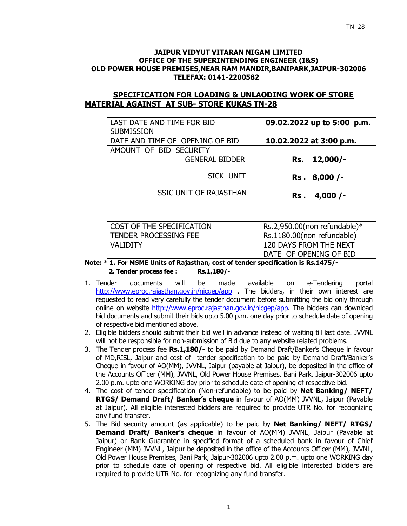#### **JAIPUR VIDYUT VITARAN NIGAM LIMITED OFFICE OF THE SUPERINTENDING ENGINEER (I&S) OLD POWER HOUSE PREMISES,NEAR RAM MANDIR,BANIPARK,JAIPUR-302006 TELEFAX: 0141-2200582**

# **SPECIFICATION FOR LOADING & UNLAODING WORK OF STORE MATERIAL AGAINST AT SUB- STORE KUKAS TN-28**

| LAST DATE AND TIME FOR BID<br><b>SUBMISSION</b> | 09.02.2022 up to 5:00 p.m.   |
|-------------------------------------------------|------------------------------|
| DATE AND TIME OF OPENING OF BID                 | 10.02.2022 at 3:00 p.m.      |
| AMOUNT OF BID SECURITY                          |                              |
| <b>GENERAL BIDDER</b>                           | $12,000/-$<br>Rs.            |
| SICK UNIT                                       | Rs. 8,000 /-                 |
| <b>SSIC UNIT OF RAJASTHAN</b>                   | Rs. 4,000 /-                 |
|                                                 |                              |
| COST OF THE SPECIFICATION                       | Rs.2,950.00(non refundable)* |
| <b>TENDER PROCESSING FEE</b>                    | Rs.1180.00(non refundable)   |
| <b>VALIDITY</b>                                 | 120 DAYS FROM THE NEXT       |
|                                                 | DATE OF OPENING OF BID       |

**Note: \* 1. For MSME Units of Rajasthan, cost of tender specification is Rs.1475/- 2. Tender process fee : Rs.1,180/-** 

- 1. Tender documents will be made available on e-Tendering portal http://www.eproc.rajasthan.gov.in/nicgep/app . The bidders, in their own interest are requested to read very carefully the tender document before submitting the bid only through online on website http://www.eproc.rajasthan.gov.in/nicgep/app. The bidders can download bid documents and submit their bids upto 5.00 p.m. one day prior to schedule date of opening of respective bid mentioned above.
- 2. Eligible bidders should submit their bid well in advance instead of waiting till last date. JVVNL will not be responsible for non-submission of Bid due to any website related problems.
- 3. The Tender process fee **Rs.1,180/-** to be paid by Demand Draft/Banker's Cheque in favour of MD,RISL, Jaipur and cost of tender specification to be paid by Demand Draft/Banker's Cheque in favour of AO(MM), JVVNL, Jaipur (payable at Jaipur), be deposited in the office of the Accounts Officer (MM), JVVNL, Old Power House Premises, Bani Park, Jaipur-302006 upto 2.00 p.m. upto one WORKING day prior to schedule date of opening of respective bid.
- 4. The cost of tender specification (Non-refundable) to be paid by **Net Banking/ NEFT/ RTGS/ Demand Draft/ Banker's cheque** in favour of AO(MM) JVVNL, Jaipur (Payable at Jaipur). All eligible interested bidders are required to provide UTR No. for recognizing any fund transfer.
- 5. The Bid security amount (as applicable) to be paid by **Net Banking/ NEFT/ RTGS/ Demand Draft/ Banker's cheque** in favour of AO(MM) JVVNL, Jaipur (Payable at Jaipur) or Bank Guarantee in specified format of a scheduled bank in favour of Chief Engineer (MM) JVVNL, Jaipur be deposited in the office of the Accounts Officer (MM), JVVNL, Old Power House Premises, Bani Park, Jaipur-302006 upto 2.00 p.m. upto one WORKING day prior to schedule date of opening of respective bid. All eligible interested bidders are required to provide UTR No. for recognizing any fund transfer.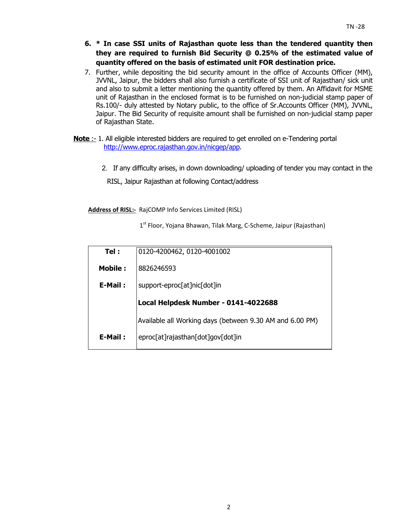- **6. \* In case SSI units of Rajasthan quote less than the tendered quantity then they are required to furnish Bid Security @ 0.25% of the estimated value of quantity offered on the basis of estimated unit FOR destination price.**
- 7. Further, while depositing the bid security amount in the office of Accounts Officer (MM), JVVNL, Jaipur, the bidders shall also furnish a certificate of SSI unit of Rajasthan/ sick unit and also to submit a letter mentioning the quantity offered by them. An Affidavit for MSME unit of Rajasthan in the enclosed format is to be furnished on non-judicial stamp paper of Rs.100/- duly attested by Notary public, to the office of Sr.Accounts Officer (MM), JVVNL, Jaipur. The Bid Security of requisite amount shall be furnished on non-judicial stamp paper of Rajasthan State.
- **Note** :- 1. All eligible interested bidders are required to get enrolled on e-Tendering portal http://www.eproc.rajasthan.gov.in/nicgep/app.
	- 2.If any difficulty arises, in down downloading/ uploading of tender you may contact in the

RISL, Jaipur Rajasthan at following Contact/address

**Address of RISL:-** RajCOMP Info Services Limited (RISL)

 $1<sup>st</sup>$  Floor, Yojana Bhawan, Tilak Marg, C-Scheme, Jaipur (Rajasthan)

| Tel:           | 0120-4200462, 0120-4001002                               |
|----------------|----------------------------------------------------------|
| <b>Mobile:</b> | 8826246593                                               |
| E-Mail:        | support-eproc[at]nic[dot]in                              |
|                | Local Helpdesk Number - 0141-4022688                     |
|                |                                                          |
|                | Available all Working days (between 9.30 AM and 6.00 PM) |
| E-Mail:        | eproc[at]rajasthan[dot]gov[dot]in                        |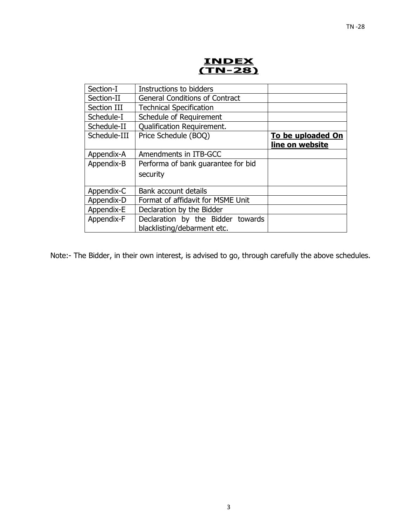**INDEX (TN-28)** 

| Section-I    | Instructions to bidders               |                          |
|--------------|---------------------------------------|--------------------------|
| Section-II   | <b>General Conditions of Contract</b> |                          |
| Section III  | <b>Technical Specification</b>        |                          |
| Schedule-I   | Schedule of Requirement               |                          |
| Schedule-II  | <b>Qualification Requirement.</b>     |                          |
| Schedule-III | Price Schedule (BOQ)                  | <b>To be uploaded On</b> |
|              |                                       | line on website          |
| Appendix-A   | Amendments in ITB-GCC                 |                          |
| Appendix-B   | Performa of bank guarantee for bid    |                          |
|              | security                              |                          |
|              |                                       |                          |
| Appendix-C   | Bank account details                  |                          |
| Appendix-D   | Format of affidavit for MSME Unit     |                          |
| Appendix-E   | Declaration by the Bidder             |                          |
| Appendix-F   | Declaration by the Bidder towards     |                          |
|              | blacklisting/debarment etc.           |                          |
|              |                                       |                          |

Note:- The Bidder, in their own interest, is advised to go, through carefully the above schedules.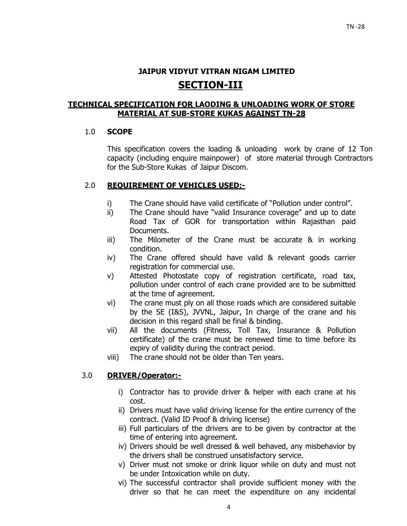# **JAIPUR VIDYUT VITRAN NIGAM LIMITED SECTION-III**

# **TECHNICAL SPECIFICATION FOR LAODING & UNLOADING WORK OF STORE MATERIAL AT SUB-STORE KUKAS AGAINST TN-28**

# 1.0 **SCOPE**

This specification covers the loading & unloading work by crane of 12 Ton capacity (including enquire mainpower) of store material through Contractors for the Sub-Store Kukas of Jaipur Discom.

# 2.0 **REQUIREMENT OF VEHICLES USED:-**

- i) The Crane should have valid certificate of "Pollution under control".
- ii) The Crane should have "valid Insurance coverage" and up to date Road Tax of GOR for transportation within Rajasthan paid Documents.
- iii) The Milometer of the Crane must be accurate & in working condition.
- iv) The Crane offered should have valid & relevant goods carrier registration for commercial use.
- v) Attested Photostate copy of registration certificate, road tax, pollution under control of each crane provided are to be submitted at the time of agreement.
- vi) The crane must ply on all those roads which are considered suitable by the SE (I&S), JVVNL, Jaipur, In charge of the crane and his decision in this regard shall be final & binding.
- vii) All the documents (Fitness, Toll Tax, Insurance & Pollution certificate) of the crane must be renewed time to time before its expiry of validity during the contract period.
- viii) The crane should not be older than Ten years.

# 3.0 **DRIVER/Operator:-**

- i) Contractor has to provide driver & helper with each crane at his cost.
- ii) Drivers must have valid driving license for the entire currency of the contract. (Valid ID Proof & driving license)
- iii) Full particulars of the drivers are to be given by contractor at the time of entering into agreement.
- iv) Drivers should be well dressed & well behaved, any misbehavior by the drivers shall be construed unsatisfactory service.
- v) Driver must not smoke or drink liquor while on duty and must not be under Intoxication while on duty.
- vi) The successful contractor shall provide sufficient money with the driver so that he can meet the expenditure on any incidental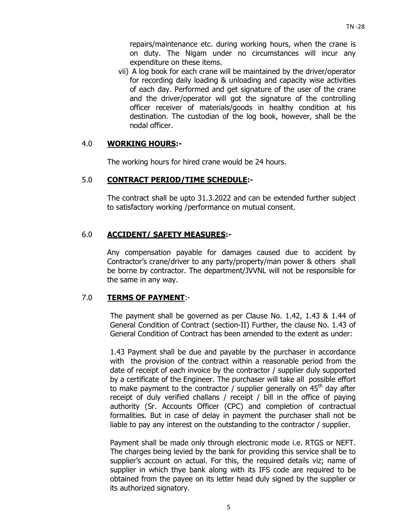repairs/maintenance etc. during working hours, when the crane is on duty. The Nigam under no circumstances will incur any expenditure on these items.

vii) A log book for each crane will be maintained by the driver/operator for recording daily loading & unloading and capacity wise activities of each day. Performed and get signature of the user of the crane and the driver/operator will got the signature of the controlling officer receiver of materials/goods in healthy condition at his destination. The custodian of the log book, however, shall be the nodal officer.

## 4.0 **WORKING HOURS:-**

The working hours for hired crane would be 24 hours.

# 5.0 **CONTRACT PERIOD/TIME SCHEDULE:-**

The contract shall be upto 31.3.2022 and can be extended further subject to satisfactory working /performance on mutual consent.

# 6.0 **ACCIDENT/ SAFETY MEASURES:-**

Any compensation payable for damages caused due to accident by Contractor's crane/driver to any party/property/man power & others shall be borne by contractor. The department/JVVNL will not be responsible for the same in any way.

# 7.0 **TERMS OF PAYMENT**:-

The payment shall be governed as per Clause No. 1.42, 1.43 & 1.44 of General Condition of Contract (section-II) Further, the clause No. 1.43 of General Condition of Contract has been amended to the extent as under:

1.43 Payment shall be due and payable by the purchaser in accordance with the provision of the contract within a reasonable period from the date of receipt of each invoice by the contractor / supplier duly supported by a certificate of the Engineer. The purchaser will take all possible effort to make payment to the contractor / supplier generally on  $45<sup>th</sup>$  day after receipt of duly verified challans / receipt / bill in the office of paying authority (Sr. Accounts Officer (CPC) and completion of contractual formalities. But in case of delay in payment the purchaser shall not be liable to pay any interest on the outstanding to the contractor / supplier.

Payment shall be made only through electronic mode i.e. RTGS or NEFT. The charges being levied by the bank for providing this service shall be to supplier's account on actual. For this, the required details viz; name of supplier in which thye bank along with its IFS code are required to be obtained from the payee on its letter head duly signed by the supplier or its authorized signatory.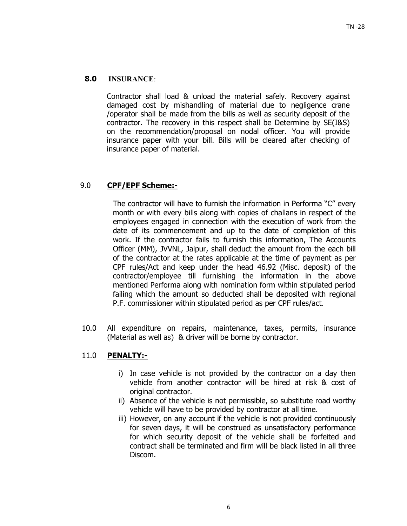# **8.0 INSURANCE**:

Contractor shall load & unload the material safely. Recovery against damaged cost by mishandling of material due to negligence crane /operator shall be made from the bills as well as security deposit of the contractor. The recovery in this respect shall be Determine by SE(I&S) on the recommendation/proposal on nodal officer. You will provide insurance paper with your bill. Bills will be cleared after checking of insurance paper of material.

# 9.0 **CPF/EPF Scheme:-**

The contractor will have to furnish the information in Performa "C" every month or with every bills along with copies of challans in respect of the employees engaged in connection with the execution of work from the date of its commencement and up to the date of completion of this work. If the contractor fails to furnish this information, The Accounts Officer (MM), JVVNL, Jaipur, shall deduct the amount from the each bill of the contractor at the rates applicable at the time of payment as per CPF rules/Act and keep under the head 46.92 (Misc. deposit) of the contractor/employee till furnishing the information in the above mentioned Performa along with nomination form within stipulated period failing which the amount so deducted shall be deposited with regional P.F. commissioner within stipulated period as per CPF rules/act.

10.0 All expenditure on repairs, maintenance, taxes, permits, insurance (Material as well as) & driver will be borne by contractor.

# 11.0 **PENALTY:-**

- i) In case vehicle is not provided by the contractor on a day then vehicle from another contractor will be hired at risk & cost of original contractor.
- ii) Absence of the vehicle is not permissible, so substitute road worthy vehicle will have to be provided by contractor at all time.
- iii) However, on any account if the vehicle is not provided continuously for seven days, it will be construed as unsatisfactory performance for which security deposit of the vehicle shall be forfeited and contract shall be terminated and firm will be black listed in all three Discom.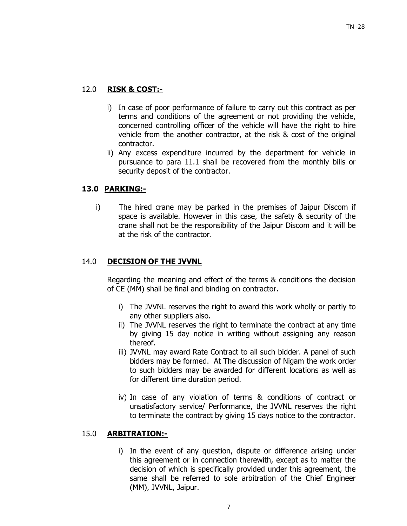# 12.0 **RISK & COST:-**

- i) In case of poor performance of failure to carry out this contract as per terms and conditions of the agreement or not providing the vehicle, concerned controlling officer of the vehicle will have the right to hire vehicle from the another contractor, at the risk & cost of the original contractor.
- ii) Any excess expenditure incurred by the department for vehicle in pursuance to para 11.1 shall be recovered from the monthly bills or security deposit of the contractor.

# **13.0 PARKING:-**

i) The hired crane may be parked in the premises of Jaipur Discom if space is available. However in this case, the safety & security of the crane shall not be the responsibility of the Jaipur Discom and it will be at the risk of the contractor.

# 14.0 **DECISION OF THE JVVNL**

Regarding the meaning and effect of the terms & conditions the decision of CE (MM) shall be final and binding on contractor.

- i) The JVVNL reserves the right to award this work wholly or partly to any other suppliers also.
- ii) The JVVNL reserves the right to terminate the contract at any time by giving 15 day notice in writing without assigning any reason thereof.
- iii) JVVNL may award Rate Contract to all such bidder. A panel of such bidders may be formed. At The discussion of Nigam the work order to such bidders may be awarded for different locations as well as for different time duration period.
- iv) In case of any violation of terms & conditions of contract or unsatisfactory service/ Performance, the JVVNL reserves the right to terminate the contract by giving 15 days notice to the contractor.

## 15.0 **ARBITRATION:-**

i) In the event of any question, dispute or difference arising under this agreement or in connection therewith, except as to matter the decision of which is specifically provided under this agreement, the same shall be referred to sole arbitration of the Chief Engineer (MM), JVVNL, Jaipur.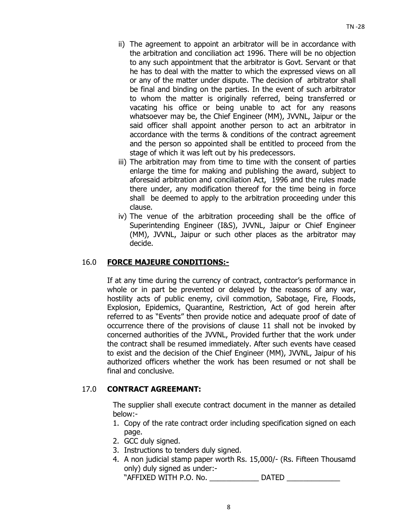- ii) The agreement to appoint an arbitrator will be in accordance with the arbitration and conciliation act 1996. There will be no objection to any such appointment that the arbitrator is Govt. Servant or that he has to deal with the matter to which the expressed views on all or any of the matter under dispute. The decision of arbitrator shall be final and binding on the parties. In the event of such arbitrator to whom the matter is originally referred, being transferred or vacating his office or being unable to act for any reasons whatsoever may be, the Chief Engineer (MM), JVVNL, Jaipur or the said officer shall appoint another person to act an arbitrator in accordance with the terms & conditions of the contract agreement and the person so appointed shall be entitled to proceed from the stage of which it was left out by his predecessors.
- iii) The arbitration may from time to time with the consent of parties enlarge the time for making and publishing the award, subject to aforesaid arbitration and conciliation Act, 1996 and the rules made there under, any modification thereof for the time being in force shall be deemed to apply to the arbitration proceeding under this clause.
- iv) The venue of the arbitration proceeding shall be the office of Superintending Engineer (I&S), JVVNL, Jaipur or Chief Engineer (MM), JVVNL, Jaipur or such other places as the arbitrator may decide.

# 16.0 **FORCE MAJEURE CONDITIONS:-**

 If at any time during the currency of contract, contractor's performance in whole or in part be prevented or delayed by the reasons of any war, hostility acts of public enemy, civil commotion, Sabotage, Fire, Floods, Explosion, Epidemics, Quarantine, Restriction, Act of god herein after referred to as "Events" then provide notice and adequate proof of date of occurrence there of the provisions of clause 11 shall not be invoked by concerned authorities of the JVVNL, Provided further that the work under the contract shall be resumed immediately. After such events have ceased to exist and the decision of the Chief Engineer (MM), JVVNL, Jaipur of his authorized officers whether the work has been resumed or not shall be final and conclusive.

# 17.0 **CONTRACT AGREEMANT:**

The supplier shall execute contract document in the manner as detailed below:-

- 1. Copy of the rate contract order including specification signed on each page.
- 2. GCC duly signed.
- 3. Instructions to tenders duly signed.
- 4. A non judicial stamp paper worth Rs. 15,000/- (Rs. Fifteen Thousamd only) duly signed as under:- "AFFIXED WITH P.O. No. \_\_\_\_\_\_\_\_\_\_\_\_ DATED \_\_\_\_\_\_\_\_\_\_\_\_\_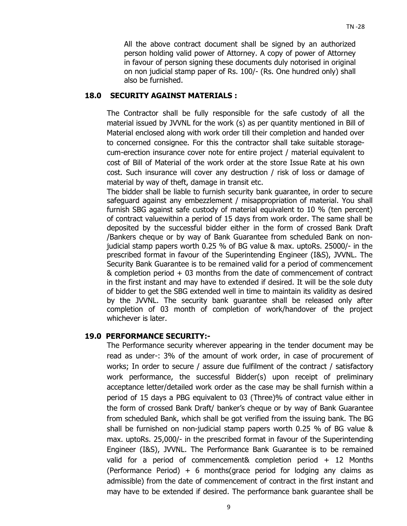All the above contract document shall be signed by an authorized person holding valid power of Attorney. A copy of power of Attorney in favour of person signing these documents duly notorised in original on non judicial stamp paper of Rs. 100/- (Rs. One hundred only) shall also be furnished.

# **18.0 SECURITY AGAINST MATERIALS :**

The Contractor shall be fully responsible for the safe custody of all the material issued by JVVNL for the work (s) as per quantity mentioned in Bill of Material enclosed along with work order till their completion and handed over to concerned consignee. For this the contractor shall take suitable storagecum-erection insurance cover note for entire project / material equivalent to cost of Bill of Material of the work order at the store Issue Rate at his own cost. Such insurance will cover any destruction / risk of loss or damage of material by way of theft, damage in transit etc.

The bidder shall be liable to furnish security bank guarantee, in order to secure safeguard against any embezzlement / misappropriation of material. You shall furnish SBG against safe custody of material equivalent to 10 % (ten percent) of contract valuewithin a period of 15 days from work order. The same shall be deposited by the successful bidder either in the form of crossed Bank Draft /Bankers cheque or by way of Bank Guarantee from scheduled Bank on nonjudicial stamp papers worth 0.25 % of BG value & max. uptoRs. 25000/- in the prescribed format in favour of the Superintending Engineer (I&S), JVVNL. The Security Bank Guarantee is to be remained valid for a period of commencement & completion period + 03 months from the date of commencement of contract in the first instant and may have to extended if desired. It will be the sole duty of bidder to get the SBG extended well in time to maintain its validity as desired by the JVVNL. The security bank guarantee shall be released only after completion of 03 month of completion of work/handover of the project whichever is later.

## **19.0 PERFORMANCE SECURITY:-**

The Performance security wherever appearing in the tender document may be read as under-: 3% of the amount of work order, in case of procurement of works; In order to secure / assure due fulfilment of the contract / satisfactory work performance, the successful Bidder(s) upon receipt of preliminary acceptance letter/detailed work order as the case may be shall furnish within a period of 15 days a PBG equivalent to 03 (Three)% of contract value either in the form of crossed Bank Draft/ banker's cheque or by way of Bank Guarantee from scheduled Bank, which shall be got verified from the issuing bank. The BG shall be furnished on non-judicial stamp papers worth 0.25 % of BG value & max. uptoRs. 25,000/- in the prescribed format in favour of the Superintending Engineer (I&S), JVVNL. The Performance Bank Guarantee is to be remained valid for a period of commencement& completion period + 12 Months (Performance Period)  $+ 6$  months(grace period for lodging any claims as admissible) from the date of commencement of contract in the first instant and may have to be extended if desired. The performance bank guarantee shall be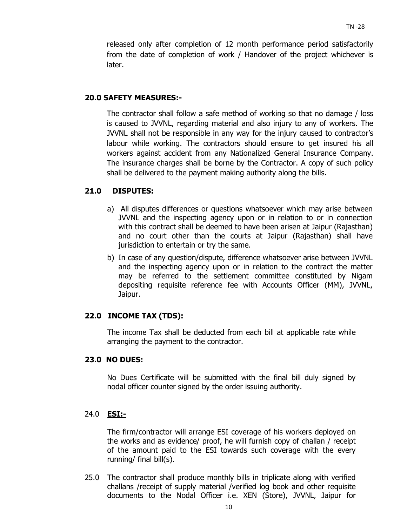released only after completion of 12 month performance period satisfactorily from the date of completion of work / Handover of the project whichever is later.

## **20.0 SAFETY MEASURES:-**

The contractor shall follow a safe method of working so that no damage / loss is caused to JVVNL, regarding material and also injury to any of workers. The JVVNL shall not be responsible in any way for the injury caused to contractor's labour while working. The contractors should ensure to get insured his all workers against accident from any Nationalized General Insurance Company. The insurance charges shall be borne by the Contractor. A copy of such policy shall be delivered to the payment making authority along the bills.

## **21.0 DISPUTES:**

- a) All disputes differences or questions whatsoever which may arise between JVVNL and the inspecting agency upon or in relation to or in connection with this contract shall be deemed to have been arisen at Jaipur (Rajasthan) and no court other than the courts at Jaipur (Rajasthan) shall have jurisdiction to entertain or try the same.
- b) In case of any question/dispute, difference whatsoever arise between JVVNL and the inspecting agency upon or in relation to the contract the matter may be referred to the settlement committee constituted by Nigam depositing requisite reference fee with Accounts Officer (MM), JVVNL, Jaipur.

## **22.0 INCOME TAX (TDS):**

The income Tax shall be deducted from each bill at applicable rate while arranging the payment to the contractor.

#### **23.0 NO DUES:**

No Dues Certificate will be submitted with the final bill duly signed by nodal officer counter signed by the order issuing authority.

#### 24.0 **ESI:-**

The firm/contractor will arrange ESI coverage of his workers deployed on the works and as evidence/ proof, he will furnish copy of challan / receipt of the amount paid to the ESI towards such coverage with the every running/ final bill(s).

25.0 The contractor shall produce monthly bills in triplicate along with verified challans /receipt of supply material /verified log book and other requisite documents to the Nodal Officer i.e. XEN (Store), JVVNL, Jaipur for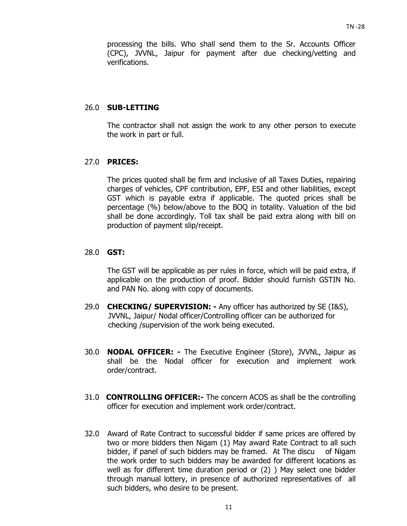processing the bills. Who shall send them to the Sr. Accounts Officer (CPC), JVVNL, Jaipur for payment after due checking/vetting and verifications.

#### 26.0 **SUB-LETTING**

 The contractor shall not assign the work to any other person to execute the work in part or full.

#### 27.0 **PRICES:**

 The prices quoted shall be firm and inclusive of all Taxes Duties, repairing charges of vehicles, CPF contribution, EPF, ESI and other liabilities, except GST which is payable extra if applicable. The quoted prices shall be percentage (%) below/above to the BOQ in totality. Valuation of the bid shall be done accordingly. Toll tax shall be paid extra along with bill on production of payment slip/receipt.

## 28.0 **GST:**

The GST will be applicable as per rules in force, which will be paid extra, if applicable on the production of proof. Bidder should furnish GSTIN No. and PAN No. along with copy of documents.

- 29.0 **CHECKING/ SUPERVISION:** Any officer has authorized by SE (I&S), JVVNL, Jaipur/ Nodal officer/Controlling officer can be authorized for checking /supervision of the work being executed.
- 30.0 **NODAL OFFICER:** The Executive Engineer (Store), JVVNL, Jaipur as shall be the Nodal officer for execution and implement work order/contract.
- 31.0 **CONTROLLING OFFICER:-** The concern ACOS as shall be the controlling officer for execution and implement work order/contract.
- 32.0Award of Rate Contract to successful bidder if same prices are offered by two or more bidders then Nigam (1) May award Rate Contract to all such bidder, if panel of such bidders may be framed. At The discu of Nigam the work order to such bidders may be awarded for different locations as well as for different time duration period or (2) ) May select one bidder through manual lottery, in presence of authorized representatives of all such bidders, who desire to be present.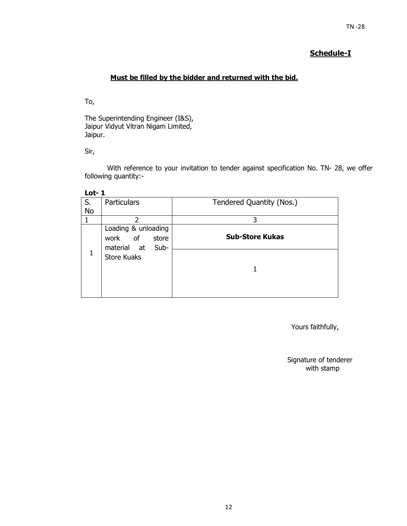#### $TN - 28$

# **Schedule-I**

# **Must be filled by the bidder and returned with the bid.**

To,

The Superintending Engineer (I&S), Jaipur Vidyut Vitran Nigam Limited, Jaipur.

Sir,

With reference to your invitation to tender against specification No. TN- 28, we offer following quantity:-

| __<br>۰.<br>.,<br>M. |  |
|----------------------|--|
|----------------------|--|

| S.        | <b>Particulars</b>                                             | Tendered Quantity (Nos.) |
|-----------|----------------------------------------------------------------|--------------------------|
| <b>No</b> |                                                                |                          |
|           | $\mathcal{P}$                                                  | 3                        |
|           | Loading & unloading<br>work of<br>store<br>material at<br>Sub- | <b>Sub-Store Kukas</b>   |
| 1         | <b>Store Kuaks</b>                                             |                          |
|           |                                                                |                          |

Yours faithfully,

Signature of tenderer with stamp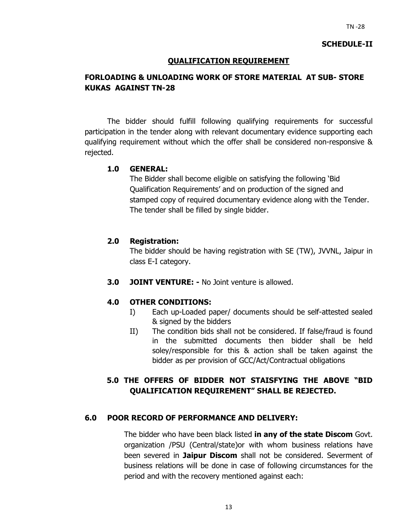## **SCHEDULE-II**

## **QUALIFICATION REQUIREMENT**

# **FORLOADING & UNLOADING WORK OF STORE MATERIAL AT SUB- STORE KUKAS AGAINST TN-28**

The bidder should fulfill following qualifying requirements for successful participation in the tender along with relevant documentary evidence supporting each qualifying requirement without which the offer shall be considered non-responsive & rejected.

#### **1.0 GENERAL:**

The Bidder shall become eligible on satisfying the following 'Bid Qualification Requirements' and on production of the signed and stamped copy of required documentary evidence along with the Tender. The tender shall be filled by single bidder.

## **2.0 Registration:**

The bidder should be having registration with SE (TW), JVVNL, Jaipur in class E-I category.

**3.0 JOINT VENTURE: -** No Joint venture is allowed.

## **4.0 OTHER CONDITIONS:**

- I) Each up-Loaded paper/ documents should be self-attested sealed & signed by the bidders
- II) The condition bids shall not be considered. If false/fraud is found in the submitted documents then bidder shall be held soley/responsible for this & action shall be taken against the bidder as per provision of GCC/Act/Contractual obligations

# **5.0 THE OFFERS OF BIDDER NOT STAISFYING THE ABOVE "BID QUALIFICATION REQUIREMENT" SHALL BE REJECTED.**

#### **6.0 POOR RECORD OF PERFORMANCE AND DELIVERY:**

The bidder who have been black listed **in any of the state Discom** Govt. organization /PSU (Central/state)or with whom business relations have been severed in **Jaipur Discom** shall not be considered. Severment of business relations will be done in case of following circumstances for the period and with the recovery mentioned against each: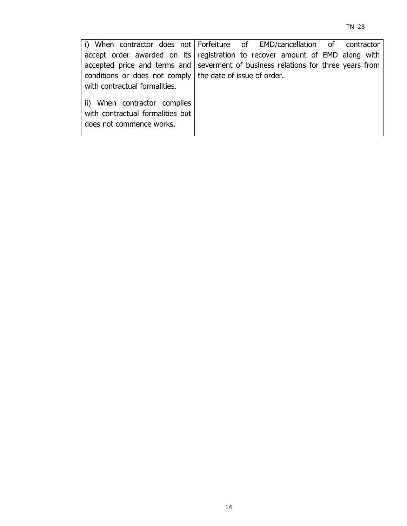| i) When contractor does not Forfeiture of EMD/cancellation of contractor          |  |  |  |  |
|-----------------------------------------------------------------------------------|--|--|--|--|
| accept order awarded on its registration to recover amount of EMD along with      |  |  |  |  |
| accepted price and terms and severment of business relations for three years from |  |  |  |  |
| conditions or does not comply the date of issue of order.                         |  |  |  |  |
| with contractual formalities.                                                     |  |  |  |  |
| ii) When contractor complies<br>with contractual formalities but                  |  |  |  |  |
| does not commence works.                                                          |  |  |  |  |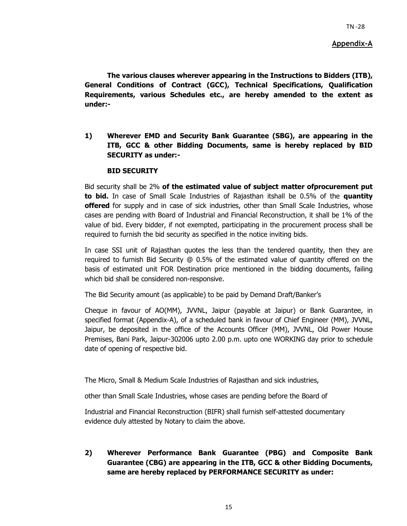#### **Appendix-A**

**The various clauses wherever appearing in the Instructions to Bidders (ITB), General Conditions of Contract (GCC), Technical Specifications, Qualification Requirements, various Schedules etc., are hereby amended to the extent as under:-** 

**1) Wherever EMD and Security Bank Guarantee (SBG), are appearing in the ITB, GCC & other Bidding Documents, same is hereby replaced by BID SECURITY as under:-** 

#### **BID SECURITY**

Bid security shall be 2% **of the estimated value of subject matter ofprocurement put to bid.** In case of Small Scale Industries of Rajasthan itshall be 0.5% of the **quantity offered** for supply and in case of sick industries, other than Small Scale Industries, whose cases are pending with Board of Industrial and Financial Reconstruction, it shall be 1% of the value of bid. Every bidder, if not exempted, participating in the procurement process shall be required to furnish the bid security as specified in the notice inviting bids.

In case SSI unit of Rajasthan quotes the less than the tendered quantity, then they are required to furnish Bid Security @ 0.5% of the estimated value of quantity offered on the basis of estimated unit FOR Destination price mentioned in the bidding documents, failing which bid shall be considered non-responsive.

The Bid Security amount (as applicable) to be paid by Demand Draft/Banker's

Cheque in favour of AO(MM), JVVNL, Jaipur (payable at Jaipur) or Bank Guarantee, in specified format (Appendix-A), of a scheduled bank in favour of Chief Engineer (MM), JVVNL, Jaipur, be deposited in the office of the Accounts Officer (MM), JVVNL, Old Power House Premises, Bani Park, Jaipur-302006 upto 2.00 p.m. upto one WORKING day prior to schedule date of opening of respective bid.

The Micro, Small & Medium Scale Industries of Rajasthan and sick industries,

other than Small Scale Industries, whose cases are pending before the Board of

Industrial and Financial Reconstruction (BIFR) shall furnish self-attested documentary evidence duly attested by Notary to claim the above.

**2) Wherever Performance Bank Guarantee (PBG) and Composite Bank Guarantee (CBG) are appearing in the ITB, GCC & other Bidding Documents, same are hereby replaced by PERFORMANCE SECURITY as under:**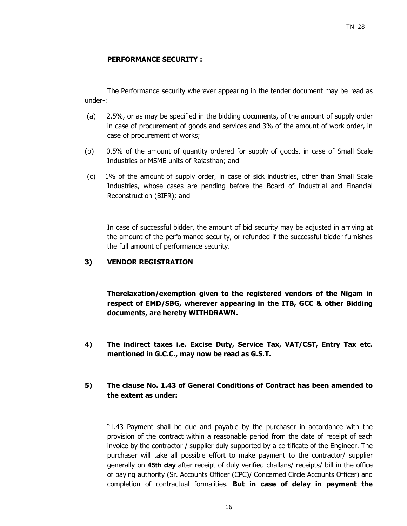#### **PERFORMANCE SECURITY :**

The Performance security wherever appearing in the tender document may be read as under-:

- (a) 2.5%, or as may be specified in the bidding documents, of the amount of supply order in case of procurement of goods and services and 3% of the amount of work order, in case of procurement of works;
- (b) 0.5% of the amount of quantity ordered for supply of goods, in case of Small Scale Industries or MSME units of Rajasthan; and
- (c) 1% of the amount of supply order, in case of sick industries, other than Small Scale Industries, whose cases are pending before the Board of Industrial and Financial Reconstruction (BIFR); and

In case of successful bidder, the amount of bid security may be adjusted in arriving at the amount of the performance security, or refunded if the successful bidder furnishes the full amount of performance security.

#### **3) VENDOR REGISTRATION**

**Therelaxation/exemption given to the registered vendors of the Nigam in respect of EMD/SBG, wherever appearing in the ITB, GCC & other Bidding documents, are hereby WITHDRAWN.** 

**4) The indirect taxes i.e. Excise Duty, Service Tax, VAT/CST, Entry Tax etc. mentioned in G.C.C., may now be read as G.S.T.** 

## **5) The clause No. 1.43 of General Conditions of Contract has been amended to the extent as under:**

"1.43 Payment shall be due and payable by the purchaser in accordance with the provision of the contract within a reasonable period from the date of receipt of each invoice by the contractor / supplier duly supported by a certificate of the Engineer. The purchaser will take all possible effort to make payment to the contractor/ supplier generally on **45th day** after receipt of duly verified challans/ receipts/ bill in the office of paying authority (Sr. Accounts Officer (CPC)/ Concerned Circle Accounts Officer) and completion of contractual formalities. **But in case of delay in payment the**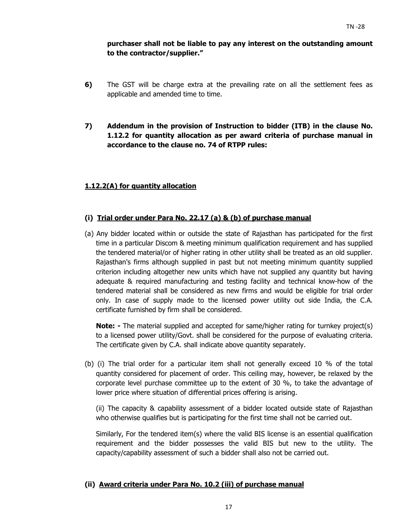# **purchaser shall not be liable to pay any interest on the outstanding amount to the contractor/supplier."**

- **6)** The GST will be charge extra at the prevailing rate on all the settlement fees as applicable and amended time to time.
- **7) Addendum in the provision of Instruction to bidder (ITB) in the clause No. 1.12.2 for quantity allocation as per award criteria of purchase manual in accordance to the clause no. 74 of RTPP rules:**

# **1.12.2(A) for quantity allocation**

## **(i) Trial order under Para No. 22.17 (a) & (b) of purchase manual**

(a) Any bidder located within or outside the state of Rajasthan has participated for the first time in a particular Discom & meeting minimum qualification requirement and has supplied the tendered material/or of higher rating in other utility shall be treated as an old supplier. Rajasthan's firms although supplied in past but not meeting minimum quantity supplied criterion including altogether new units which have not supplied any quantity but having adequate & required manufacturing and testing facility and technical know-how of the tendered material shall be considered as new firms and would be eligible for trial order only. In case of supply made to the licensed power utility out side India, the C.A. certificate furnished by firm shall be considered.

**Note:** - The material supplied and accepted for same/higher rating for turnkey project(s) to a licensed power utility/Govt. shall be considered for the purpose of evaluating criteria. The certificate given by C.A. shall indicate above quantity separately.

(b) (i) The trial order for a particular item shall not generally exceed 10 % of the total quantity considered for placement of order. This ceiling may, however, be relaxed by the corporate level purchase committee up to the extent of 30 %, to take the advantage of lower price where situation of differential prices offering is arising.

(ii) The capacity & capability assessment of a bidder located outside state of Rajasthan who otherwise qualifies but is participating for the first time shall not be carried out.

Similarly, For the tendered item(s) where the valid BIS license is an essential qualification requirement and the bidder possesses the valid BIS but new to the utility. The capacity/capability assessment of such a bidder shall also not be carried out.

## **(ii) Award criteria under Para No. 10.2 (iii) of purchase manual**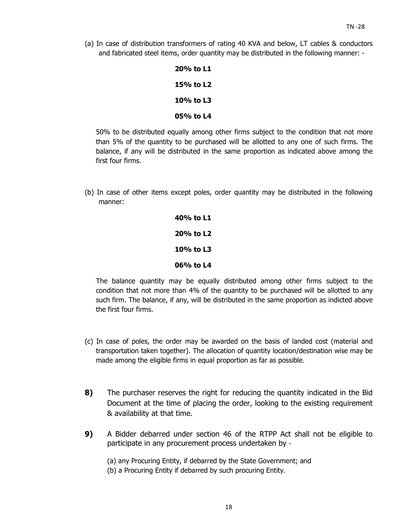(a) In case of distribution transformers of rating 40 KVA and below, LT cables & conductors and fabricated steel items, order quantity may be distributed in the following manner: -

| 20% to L1 |
|-----------|
| 15% to L2 |
| 10% to L3 |
| 05% to L4 |

50% to be distributed equally among other firms subject to the condition that not more than 5% of the quantity to be purchased will be allotted to any one of such firms. The balance, if any will be distributed in the same proportion as indicated above among the first four firms.

(b) In case of other items except poles, order quantity may be distributed in the following manner:

> **40% to L1 20% to L2 10% to L3 06% to L4**

The balance quantity may be equally distributed among other firms subject to the condition that not more than 4% of the quantity to be purchased will be allotted to any such firm. The balance, if any, will be distributed in the same proportion as indicted above the first four firms.

- (c) In case of poles, the order may be awarded on the basis of landed cost (material and transportation taken together). The allocation of quantity location/destination wise may be made among the eligible firms in equal proportion as far as possible.
- **8)** The purchaser reserves the right for reducing the quantity indicated in the Bid Document at the time of placing the order, looking to the existing requirement & availability at that time.
- **9)** A Bidder debarred under section 46 of the RTPP Act shall not be eligible to participate in any procurement process undertaken by ‐
	- (a) any Procuring Entity, if debarred by the State Government; and
	- (b) a Procuring Entity if debarred by such procuring Entity.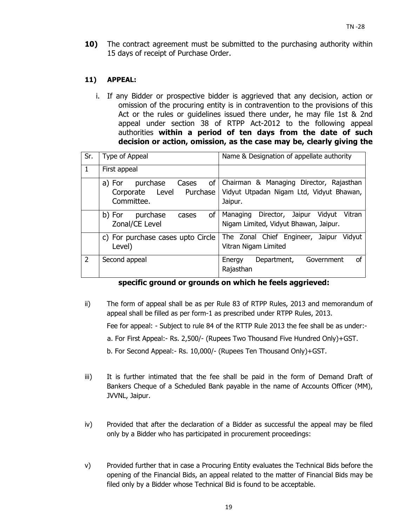**10)** The contract agreement must be submitted to the purchasing authority within 15 days of receipt of Purchase Order.

## **11) APPEAL:**

i. If any Bidder or prospective bidder is aggrieved that any decision, action or omission of the procuring entity is in contravention to the provisions of this Act or the rules or guidelines issued there under, he may file 1st & 2nd appeal under section 38 of RTPP Act-2012 to the following appeal authorities **within a period of ten days from the date of such decision or action, omission, as the case may be, clearly giving the** 

| Sr.           | Type of Appeal                                                              | Name & Designation of appellate authority                                                      |  |  |
|---------------|-----------------------------------------------------------------------------|------------------------------------------------------------------------------------------------|--|--|
| 1             | First appeal                                                                |                                                                                                |  |  |
|               | of<br>purchase<br>Cases<br>a) For<br>Corporate Level Purchase<br>Committee. | Chairman & Managing Director, Rajasthan<br>Vidyut Utpadan Nigam Ltd, Vidyut Bhawan,<br>Jaipur. |  |  |
|               | of I<br>b) For purchase<br>cases<br>Zonal/CE Level                          | Managing Director, Jaipur Vidyut<br>Vitran<br>Nigam Limited, Vidyut Bhawan, Jaipur.            |  |  |
|               | c) For purchase cases upto Circle<br>Level)                                 | The Zonal Chief Engineer, Jaipur<br>Vidyut<br>Vitran Nigam Limited                             |  |  |
| $\mathcal{P}$ | Second appeal                                                               | of<br>Department, Government<br>Energy<br>Rajasthan                                            |  |  |

## **specific ground or grounds on which he feels aggrieved:**

ii) The form of appeal shall be as per Rule 83 of RTPP Rules, 2013 and memorandum of appeal shall be filled as per form-1 as prescribed under RTPP Rules, 2013.

Fee for appeal: - Subject to rule 84 of the RTTP Rule 2013 the fee shall be as under:-

- a. For First Appeal:- Rs. 2,500/- (Rupees Two Thousand Five Hundred Only)+GST.
- b. For Second Appeal:- Rs. 10,000/- (Rupees Ten Thousand Only)+GST.
- iii) It is further intimated that the fee shall be paid in the form of Demand Draft of Bankers Cheque of a Scheduled Bank payable in the name of Accounts Officer (MM), JVVNL, Jaipur.
- iv) Provided that after the declaration of a Bidder as successful the appeal may be filed only by a Bidder who has participated in procurement proceedings:
- v) Provided further that in case a Procuring Entity evaluates the Technical Bids before the opening of the Financial Bids, an appeal related to the matter of Financial Bids may be filed only by a Bidder whose Technical Bid is found to be acceptable.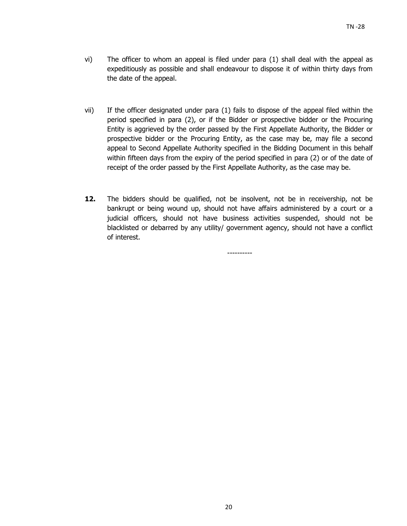- vi) The officer to whom an appeal is filed under para (1) shall deal with the appeal as expeditiously as possible and shall endeavour to dispose it of within thirty days from the date of the appeal.
- vii) If the officer designated under para (1) fails to dispose of the appeal filed within the period specified in para (2), or if the Bidder or prospective bidder or the Procuring Entity is aggrieved by the order passed by the First Appellate Authority, the Bidder or prospective bidder or the Procuring Entity, as the case may be, may file a second appeal to Second Appellate Authority specified in the Bidding Document in this behalf within fifteen days from the expiry of the period specified in para (2) or of the date of receipt of the order passed by the First Appellate Authority, as the case may be.
- 12. The bidders should be qualified, not be insolvent, not be in receivership, not be bankrupt or being wound up, should not have affairs administered by a court or a judicial officers, should not have business activities suspended, should not be blacklisted or debarred by any utility/ government agency, should not have a conflict of interest.

----------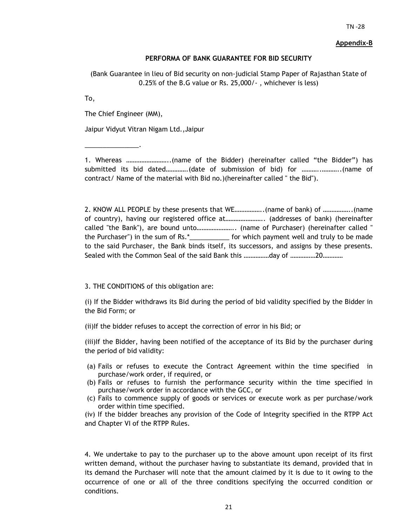#### **Appendix-B**

#### **PERFORMA OF BANK GUARANTEE FOR BID SECURITY**

(Bank Guarantee in lieu of Bid security on non-judicial Stamp Paper of Rajasthan State of 0.25% of the B.G value or Rs. 25,000/- , whichever is less)

To,

The Chief Engineer (MM),

\_\_\_\_\_\_\_\_\_\_\_\_\_\_\_.

Jaipur Vidyut Vitran Nigam Ltd.,Jaipur

1. Whereas ……………………..(name of the Bidder) (hereinafter called "the Bidder") has submitted its bid dated………….(date of submission of bid) for ………..………..(name of contract/ Name of the material with Bid no.)(hereinafter called " the Bid").

2. KNOW ALL PEOPLE by these presents that WE……………..(name of bank) of ……………..(name of country), having our registered office at………………….. (addresses of bank) (hereinafter called "the Bank"), are bound unto………………….. (name of Purchaser) (hereinafter called " the Purchaser") in the sum of Rs.\*\_\_\_\_\_\_\_\_\_\_\_ for which payment well and truly to be made to the said Purchaser, the Bank binds itself, its successors, and assigns by these presents. Sealed with the Common Seal of the said Bank this ……………day of ……………20…………

3. THE CONDITIONS of this obligation are:

(i) If the Bidder withdraws its Bid during the period of bid validity specified by the Bidder in the Bid Form; or

(ii)If the bidder refuses to accept the correction of error in his Bid; or

(iii)If the Bidder, having been notified of the acceptance of its Bid by the purchaser during the period of bid validity:

- (a) Fails or refuses to execute the Contract Agreement within the time specified in purchase/work order, if required, or
- (b) Fails or refuses to furnish the performance security within the time specified in purchase/work order in accordance with the GCC, or
- (c) Fails to commence supply of goods or services or execute work as per purchase/work order within time specified.

(iv) If the bidder breaches any provision of the Code of Integrity specified in the RTPP Act and Chapter VI of the RTPP Rules.

4. We undertake to pay to the purchaser up to the above amount upon receipt of its first written demand, without the purchaser having to substantiate its demand, provided that in its demand the Purchaser will note that the amount claimed by it is due to it owing to the occurrence of one or all of the three conditions specifying the occurred condition or conditions.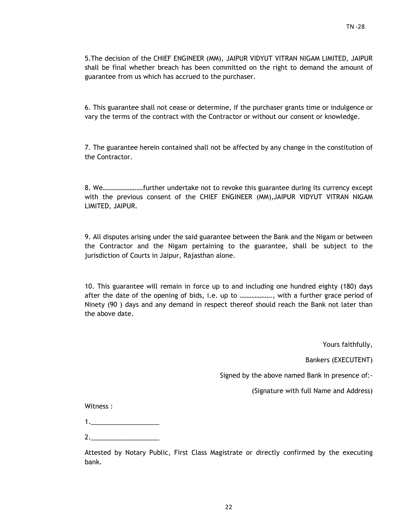5.The decision of the CHIEF ENGINEER (MM), JAIPUR VIDYUT VITRAN NIGAM LIMITED, JAIPUR shall be final whether breach has been committed on the right to demand the amount of guarantee from us which has accrued to the purchaser.

6. This guarantee shall not cease or determine, if the purchaser grants time or indulgence or vary the terms of the contract with the Contractor or without our consent or knowledge.

7. The guarantee herein contained shall not be affected by any change in the constitution of the Contractor.

8. We……………………further undertake not to revoke this guarantee during its currency except with the previous consent of the CHIEF ENGINEER (MM),JAIPUR VIDYUT VITRAN NIGAM LIMITED, JAIPUR.

9. All disputes arising under the said guarantee between the Bank and the Nigam or between the Contractor and the Nigam pertaining to the guarantee, shall be subject to the jurisdiction of Courts in Jaipur, Rajasthan alone.

10. This guarantee will remain in force up to and including one hundred eighty (180) days after the date of the opening of bids, i.e. up to ………………., with a further grace period of Ninety (90 ) days and any demand in respect thereof should reach the Bank not later than the above date.

Yours faithfully,

Bankers (EXECUTENT)

Signed by the above named Bank in presence of:-

(Signature with full Name and Address)

Witness :

2.\_\_\_\_\_\_\_\_\_\_\_\_\_\_\_\_\_\_\_

Attested by Notary Public, First Class Magistrate or directly confirmed by the executing bank.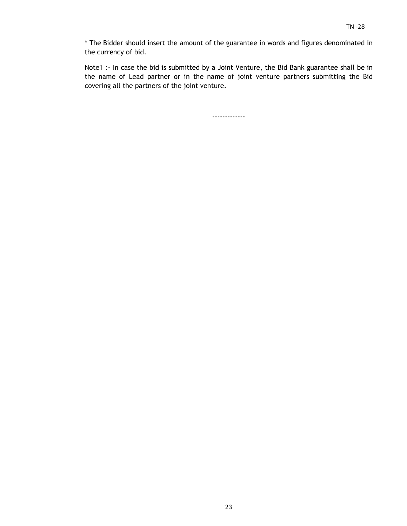\* The Bidder should insert the amount of the guarantee in words and figures denominated in the currency of bid.

Note1 :- In case the bid is submitted by a Joint Venture, the Bid Bank guarantee shall be in the name of Lead partner or in the name of joint venture partners submitting the Bid covering all the partners of the joint venture.

-------------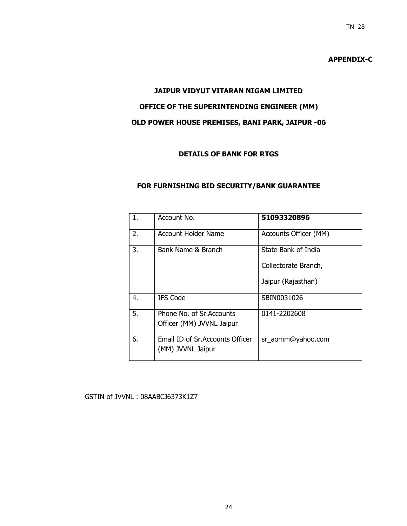# **APPENDIX-C**

# **JAIPUR VIDYUT VITARAN NIGAM LIMITED OFFICE OF THE SUPERINTENDING ENGINEER (MM) OLD POWER HOUSE PREMISES, BANI PARK, JAIPUR -06**

# **DETAILS OF BANK FOR RTGS**

### **FOR FURNISHING BID SECURITY/BANK GUARANTEE**

| 1. | Account No.                                            | 51093320896           |
|----|--------------------------------------------------------|-----------------------|
| 2. | Account Holder Name                                    | Accounts Officer (MM) |
| 3. | Bank Name & Branch                                     | State Bank of India   |
|    |                                                        | Collectorate Branch,  |
|    |                                                        | Jaipur (Rajasthan)    |
| 4. | <b>IFS Code</b>                                        | SBIN0031026           |
| 5. | Phone No. of Sr. Accounts<br>Officer (MM) JVVNL Jaipur | 0141-2202608          |
|    |                                                        |                       |
| 6. | Email ID of Sr. Accounts Officer<br>(MM) JVVNL Jaipur  | sr_aomm@yahoo.com     |

#### GSTIN of JVVNL : 08AABCJ6373K1Z7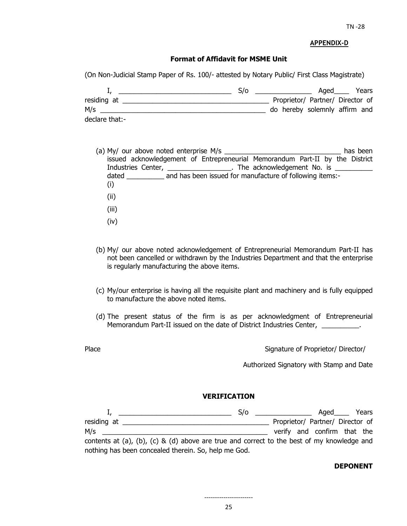#### **APPENDIX-D**

#### **Format of Affidavit for MSME Unit**

(On Non-Judicial Stamp Paper of Rs. 100/- attested by Notary Public/ First Class Magistrate)

|                | S/O |                                  | Aged | Years |
|----------------|-----|----------------------------------|------|-------|
| residing at    |     | Proprietor/ Partner/ Director of |      |       |
| M/s            |     | do hereby solemnly affirm and    |      |       |
| declare that:- |     |                                  |      |       |

- (a) My/ our above noted enterprise M/s  $\blacksquare$ issued acknowledgement of Entrepreneurial Memorandum Part-II by the District Industries Center, \_\_\_\_\_\_\_\_\_\_\_\_\_\_\_\_\_\_. The acknowledgement No. is \_\_\_\_\_\_\_\_\_\_\_\_\_\_ dated and has been issued for manufacture of following items:-(i) (ii) (iii) (iv)
- (b) My/ our above noted acknowledgement of Entrepreneurial Memorandum Part-II has not been cancelled or withdrawn by the Industries Department and that the enterprise is regularly manufacturing the above items.
- (c) My/our enterprise is having all the requisite plant and machinery and is fully equipped to manufacture the above noted items.
- (d) The present status of the firm is as per acknowledgment of Entrepreneurial Memorandum Part-II issued on the date of District Industries Center, \_\_\_\_\_\_\_\_\_\_.
- 

Place **Proprietor/** Director/ Director/ Director/ Director/ Director/ Director/ Director/ Director/ Director/ Director/ Director/ Director/ Director/ Director/ Director/ Director/ Director/ Director/ Director/ Director/ Di

Authorized Signatory with Stamp and Date

#### **VERIFICATION**

|                                                                                            | S/O | <u> 1980 - John Stein, amerikansk politiker</u> | $A$ qed $\_\_$                   | Years |
|--------------------------------------------------------------------------------------------|-----|-------------------------------------------------|----------------------------------|-------|
| residing at                                                                                |     |                                                 | Proprietor/ Partner/ Director of |       |
| M/s                                                                                        |     |                                                 | verify and confirm that the      |       |
| contents at (a), (b), (c) & (d) above are true and correct to the best of my knowledge and |     |                                                 |                                  |       |
| nothing has been concealed therein. So, help me God.                                       |     |                                                 |                                  |       |

#### **DEPONENT**

-----------------------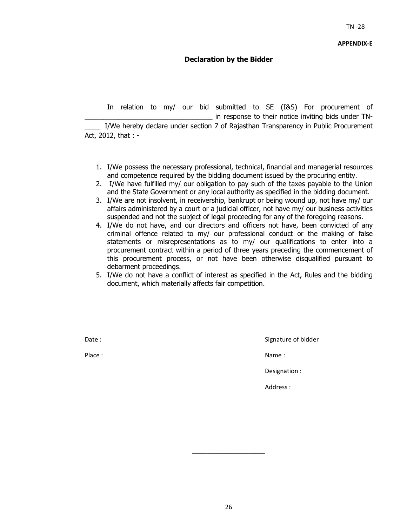## **Declaration by the Bidder**

 In relation to my/ our bid submitted to SE (I&S) For procurement of in response to their notice inviting bids under TN-I/We hereby declare under section 7 of Rajasthan Transparency in Public Procurement Act, 2012, that : -

- 1. I/We possess the necessary professional, technical, financial and managerial resources and competence required by the bidding document issued by the procuring entity.
- 2. I/We have fulfilled my/ our obligation to pay such of the taxes payable to the Union and the State Government or any local authority as specified in the bidding document.
- 3. I/We are not insolvent, in receivership, bankrupt or being wound up, not have my/ our affairs administered by a court or a judicial officer, not have my/ our business activities suspended and not the subject of legal proceeding for any of the foregoing reasons.
- 4. I/We do not have, and our directors and officers not have, been convicted of any criminal offence related to my/ our professional conduct or the making of false statements or misrepresentations as to my/ our qualifications to enter into a procurement contract within a period of three years preceding the commencement of this procurement process, or not have been otherwise disqualified pursuant to debarment proceedings.
- 5. I/We do not have a conflict of interest as specified in the Act, Rules and the bidding document, which materially affects fair competition.

Date : Signature of bidder

Place : Name : Name : Name : Name : Name : Name : Name : Name : Name : Name : Name : Name : Name : Name :  $\mathbb{R}^2$ 

Designation :

Address :

**\_\_\_\_\_\_\_\_\_\_\_\_\_\_\_\_\_\_\_**